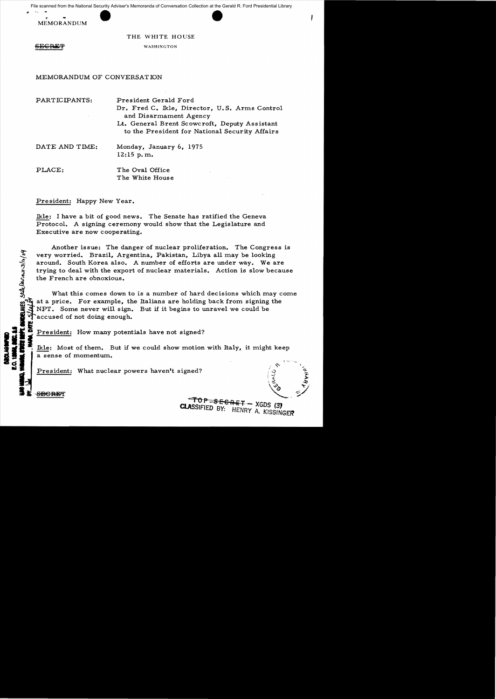File scanned from the National Security Adviser's Memoranda of Conversation Collection at the Gerald R. Ford Presidential Library



THE WHITE HOUSE

**SEGRET** 

WASHINGTON

## MEMORANDUM OF CONVERSATION

| PARTICIPANTS:  | President Gerald Ford<br>Dr. Fred C. Ikle, Director, U.S. Arms Control<br>and Disarmament Agency<br>Lt. General Brent Scowcroft, Deputy Assistant<br>to the President for National Security Affairs |
|----------------|-----------------------------------------------------------------------------------------------------------------------------------------------------------------------------------------------------|
| DATE AND TIME: | Monday, January 6, 1975<br>$12:15$ p.m.                                                                                                                                                             |
| PLACE:         | The Oval Office<br>The White House                                                                                                                                                                  |

# President: Happy New Year.

Ikle: I have a bit of good news. The Senate has ratified the Geneva Protocol. A signing ceremony would show that the Legislature and Executive are now cooperating.

Another issue: The danger of nuclear proliferation. The Congress is very worried. Brazil, Argentina, Pakistan, Libya all may be looking around. South Korea also. A number of efforts are under way. We are very worried. Brazil, Ar<br>
around. South Korea also<br>
trying to deal with the exp<br>
the French are obnoxious.<br>
What this comes down<br>
What this comes down<br>
What this comes down<br>
What this comes down<br>
What this comes down<br>
What trying to deal with the export of nuclear materials. Action is slow because

What this comes down to is a number of hard decisions which may come at a price. For example, the Italians are holding back from signing the NPT. Some never will sign. But if it begins to unravel we could be accused of not doing enough. E NPT. Some never will sign.<br>
Taccused of not doing enough.<br>
Fraceused of not doing enough.

President: How many potentials have not signed?

Ikle: Most of them. But if we could show motion with Italy, it might keep a sense of momentum.

 $CLASIFIFD-RV.$  RIFIED XGDS (3)

PI: HENRY A. KISSINGFR

President: What nuclear powers haven't signed?

 $\frac{10P}{P} - \frac{1}{3P} - \frac{1}{2P}$  XGDS (3)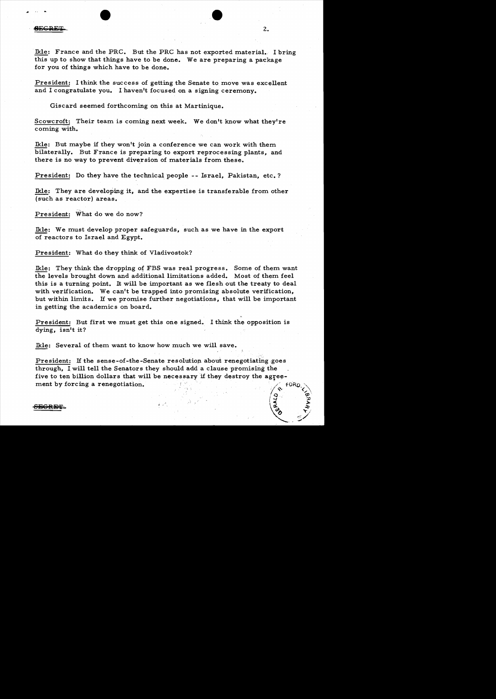Ikle: France and the PRC. But the PRC has not exported material. I bring this up to show that things have to be done. We are preparing a package for you of things which have to be done.

2.

 $\frac{1}{2}$ 

President: I think the success of getting the Senate to move was excellent and I congratulate you. I haven't focused on a signing ceremony.

Giscard seemed forthcoming on this at Martinique.

Scowcroft: Their team is coming next week. We don't know what they're coming with.

Ikle: But maybe if they won't join a conference we can work with them bilaterally. But France is preparing to export reprocessing plants, and there is no way to prevent diversion of materials from these.

President: Do they have the technical people -- Israel, Pakistan, etc.?

Ikle: They are developing it, and the expertise is transferable from other (such as reactor) areas.

President: What do we do now?

Ikle: We must develop proper safeguards, such as we have in the export of reactors to Israel and Egypt.

President: What do they think of Vladivostok?

Ikle: They think the dropping of FBS was real progress. Some of them want the levels brought down and additional limitations added. Most of them feel this is a turning point. It will be important as we flesh out the treaty to deal with verification. We can't be trapped into promising absolute verification, but within limits. If we promise further negotiations, that will be important in getting the academics on board.

President: But first we must get this one signed. I think the opposition is dying, isn't it?

Ikle: Several of them want to know how much we will save.

President: If the sense-of-the-Senate resolution about renegotiating goes through, I will tell the Senators they should add a clause promising the five to ten billion dollars that will be necessary if they destroy the agree-<br>ment by forcing a renegotiation.

# $\overline{\text{SEGRBF}}$ .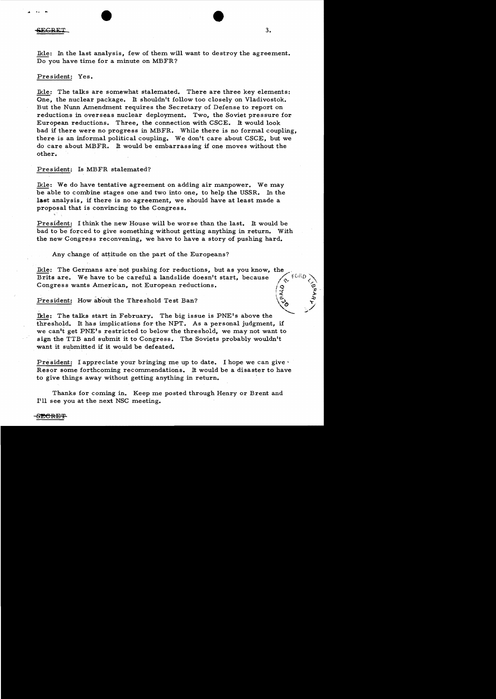### $\overline{\text{SEGRET}}$

Ikle: In the last analysis, few of them will want to destroy the agreement. Do you have time for a minute on MBFR?

### President: Yes.

Ikle: The talks are somewhat stalemated. There are three key elements: One, the nuclear package. It shouldn't follow too closely on Vladivostok. But the Nunn Amendment requires the Secretary of Defense to report on reductions in overseas nuclear deployment. Two, the Soviet pressure for European reductions. Three, the connection with CSCE. It would look bad if there were no progress in MBFR. While there is no formal coupling, there is an informal political coupling. We don't care about CSCE, but we do care about MBFR. It would be embarrassing if one moves without the other.

### President: Is MBFR stalemated?

Ikle: We do have tentative agreement on adding air manpower. We may be able to combine stages one and two into one, to help the USSR. In the last analysis, if there is no agreement, we should have at least made a proposal that is convincing to the Congres s.

President: I think the new House will be worse than the last. It would be bad to be forced to give something without getting anything in return. With the new Congress reconvening, we have to have a story of pushing hard.

Any change of attitude on the part of the Europeans?

Ikle: The Germans are not pushing for reductions, but as you know, the Brits are. We have to be careful a landslide doesn't start, because Brits are. We have to be careful a landslide doesn't start, because Congress wants American, not European reductions. <u>(9</u>

President: How about the Threshold Test Ban?

Ikle: The talks start in February. The big issue is  $PNE's$  above the threshold. It has implications for the NPT. As a personal judgment, if we can't get PNE's restricted to below the threshold, we may not want to sign the TTB and submit it to Congress. The Soviets probably wouldn't want it submitted if it would be defeated.

President: I appreciate your bringing me up to date. I hope we can give  $\cdot$ Resor some forthcoming recommendations. It would be a disaster to have to give things away without getting anything in return.

Thanks for coming in. Keep me posted through Henry or Brent and I'll see you at the next NSC meeting.

| ≉<br>' ≉

•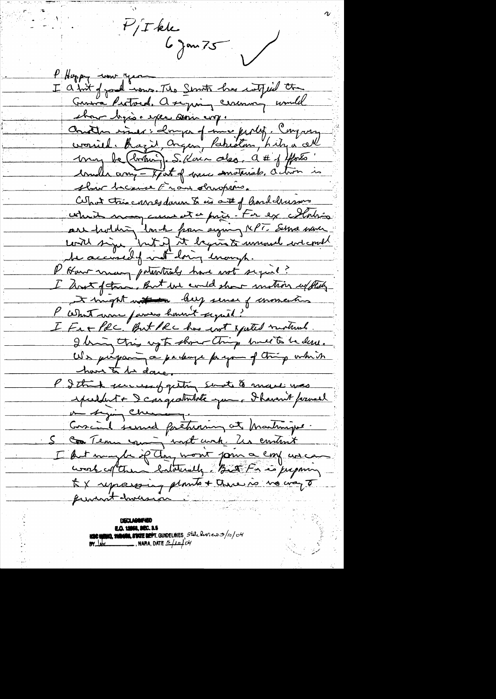$P/T$ kk<br>6 jan 75 P Hoppy come year I a but of good nows. The Servite has catfied the Genera Purtocal, a se pain ceremon commel show by is expec ani cry. Concter inner: compa of me perly. Congany cronied. Bazie Organ, Pakiston, Liby a all conder any - part of mere senaterials, action is shir because Eran structures. Cuput très carresdances ties aut of hard charsons which may cause at a prix. For ex Malin are holding land from signing repr. Serve mon content signe but if it begins to unund we could I Have many potentials have not sigued? I hast of the But has could show motion up they I might with they sense of momentus l'astunt une passes hommet supert. I Fet Pec. But Pec has not apated motival I bring this up to show thing bull to be dere. We purposing a parkage payon of thing which have to be done. P. I think success of getting sendt to mare was spuldent + Dcargeathlate que Bhavant formal me significament. Concil served facturing et Martinjue. S Con Team soming und unk. Us contrat I but maybe if they won't form a confusion to X representing plants + there is no way to prevent diversion.

**E.O. 12058, SEC. 3.5 NOC UNING, MONUM, STATE DEPT.** GUIDELINES, State Reviews 3/10/04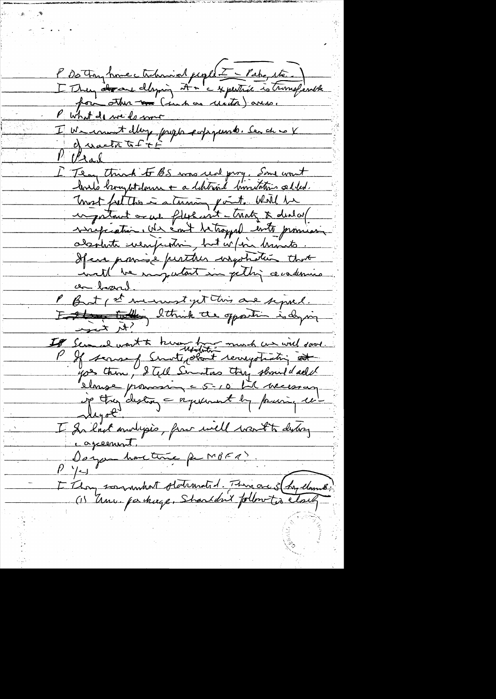P De Forz home ctubraint people = Pake, etc. What do we do more I We count day papa expanse. Ser de ce X 1 Vrad E Team think to BS was real prog, Some won't bould brought down + a debitrie buntations added. most faither is atmosph out. Will be ingestant or we fly with traty & deal of virgination. Une emit de trappel inte promission.<br>adamente suemprentin part urbin dramats. If en paris e pertier ingotation that P But (2) menustyet this are signed. Estate tolles Ithink the opposition is dying If Semal worth there has much un will sove. you then, I tell Similas they should all let Higol<sup>s</sup> I dans audipis, pour inell vant to disting Dayse hartime par MBERS. E Thompson minute d'Armatid. There are 5 (hry clamé)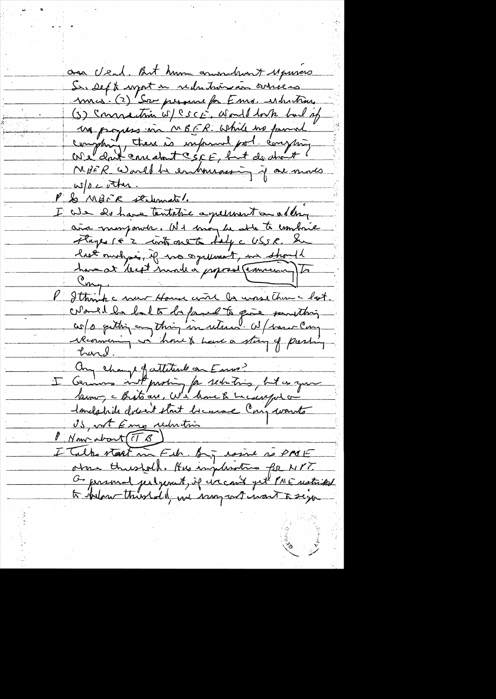asa Usad. But hum communication to Musico Sur Deft urgort in reductions on oneces mes. (2) Sa personne for Ems. Nuntine (3) Connaction w/ CSCF, Would look but of un progress in MBER. While no pound complaint, there is informal pol. comptain NBER Would be entrurassing if one modes  $w/a$  cother. P & MBFR stalement. 4 We de have tentative agreement and day aña manjonde. Ne maj la atte to combrie Flages 16'2 contrarent d'alg c USSR. Sur  $\frac{\zeta_{m}}{2}$ P Sthink c now House with la unsether - lost. colored la la la familla para sansthing récomming vi hours have a stag of pashing Any change faitettend on Euro? Cernais not proprie par sechatrics, but es que Imelabrile docent start because Cong wants OS, not Eme reduction Nous about (TB) I Tulk start in Fib. By issue so PMF otas thushold. Has injusting for NYT. G present perheaut, if in cast yet PME restrited